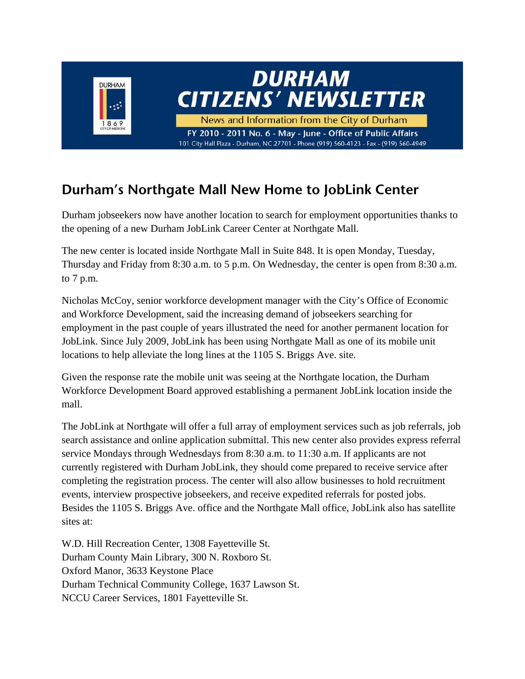

### **Durham's Northgate Mall New Home to JobLink Center**

Durham jobseekers now have another location to search for employment opportunities thanks to the opening of a new Durham JobLink Career Center at Northgate Mall.

The new center is located inside Northgate Mall in Suite 848. It is open Monday, Tuesday, Thursday and Friday from 8:30 a.m. to 5 p.m. On Wednesday, the center is open from 8:30 a.m. to 7 p.m.

Nicholas McCoy, senior workforce development manager with the City's Office of Economic and Workforce Development, said the increasing demand of jobseekers searching for employment in the past couple of years illustrated the need for another permanent location for JobLink. Since July 2009, JobLink has been using Northgate Mall as one of its mobile unit locations to help alleviate the long lines at the 1105 S. Briggs Ave. site.

Given the response rate the mobile unit was seeing at the Northgate location, the Durham Workforce Development Board approved establishing a permanent JobLink location inside the mall.

The JobLink at Northgate will offer a full array of employment services such as job referrals, job search assistance and online application submittal. This new center also provides express referral service Mondays through Wednesdays from 8:30 a.m. to 11:30 a.m. If applicants are not currently registered with Durham JobLink, they should come prepared to receive service after completing the registration process. The center will also allow businesses to hold recruitment events, interview prospective jobseekers, and receive expedited referrals for posted jobs. Besides the 1105 S. Briggs Ave. office and the Northgate Mall office, JobLink also has satellite sites at:

W.D. Hill Recreation Center, 1308 Fayetteville St. Durham County Main Library, 300 N. Roxboro St. Oxford Manor, 3633 Keystone Place Durham Technical Community College, 1637 Lawson St. NCCU Career Services, 1801 Fayetteville St.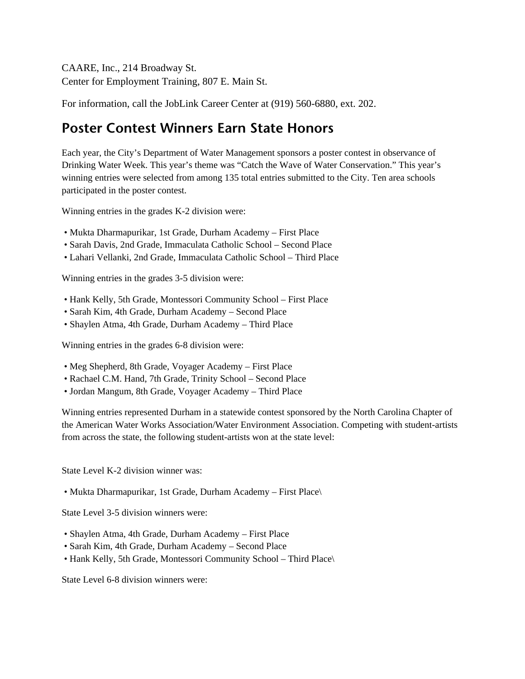CAARE, Inc., 214 Broadway St. Center for Employment Training, 807 E. Main St.

For information, call the JobLink Career Center at (919) 560-6880, ext. 202.

#### **Poster Contest Winners Earn State Honors**

Each year, the City's Department of Water Management sponsors a poster contest in observance of Drinking Water Week. This year's theme was "Catch the Wave of Water Conservation." This year's winning entries were selected from among 135 total entries submitted to the City. Ten area schools participated in the poster contest.

Winning entries in the grades K-2 division were:

- Mukta Dharmapurikar, 1st Grade, Durham Academy First Place
- Sarah Davis, 2nd Grade, Immaculata Catholic School Second Place
- Lahari Vellanki, 2nd Grade, Immaculata Catholic School Third Place

Winning entries in the grades 3-5 division were:

- Hank Kelly, 5th Grade, Montessori Community School First Place
- Sarah Kim, 4th Grade, Durham Academy Second Place
- Shaylen Atma, 4th Grade, Durham Academy Third Place

Winning entries in the grades 6-8 division were:

- Meg Shepherd, 8th Grade, Voyager Academy First Place
- Rachael C.M. Hand, 7th Grade, Trinity School Second Place
- Jordan Mangum, 8th Grade, Voyager Academy Third Place

Winning entries represented Durham in a statewide contest sponsored by the North Carolina Chapter of the American Water Works Association/Water Environment Association. Competing with student-artists from across the state, the following student-artists won at the state level:

State Level K-2 division winner was:

• Mukta Dharmapurikar, 1st Grade, Durham Academy – First Place\

State Level 3-5 division winners were:

- Shaylen Atma, 4th Grade, Durham Academy First Place
- Sarah Kim, 4th Grade, Durham Academy Second Place
- Hank Kelly, 5th Grade, Montessori Community School Third Place\

State Level 6-8 division winners were: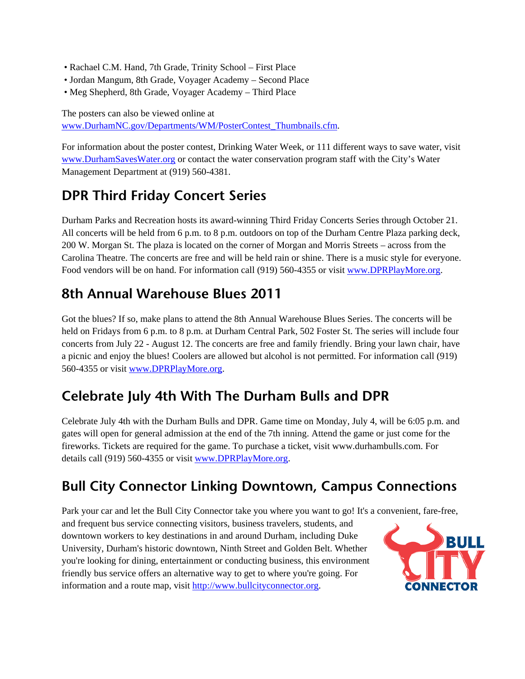- Rachael C.M. Hand, 7th Grade, Trinity School First Place
- Jordan Mangum, 8th Grade, Voyager Academy Second Place
- Meg Shepherd, 8th Grade, Voyager Academy Third Place

The posters can also be viewed online at www.DurhamNC.gov/Departments/WM/PosterContest\_Thumbnails.cfm.

For information about the poster contest, Drinking Water Week, or 111 different ways to save water, visit www.DurhamSavesWater.org or contact the water conservation program staff with the City's Water Management Department at (919) 560-4381.

#### **DPR Third Friday Concert Series**

Durham Parks and Recreation hosts its award-winning Third Friday Concerts Series through October 21. All concerts will be held from 6 p.m. to 8 p.m. outdoors on top of the Durham Centre Plaza parking deck, 200 W. Morgan St. The plaza is located on the corner of Morgan and Morris Streets – across from the Carolina Theatre. The concerts are free and will be held rain or shine. There is a music style for everyone. Food vendors will be on hand. For information call (919) 560-4355 or visit www.DPRPlayMore.org.

#### **8th Annual Warehouse Blues 2011**

Got the blues? If so, make plans to attend the 8th Annual Warehouse Blues Series. The concerts will be held on Fridays from 6 p.m. to 8 p.m. at Durham Central Park, 502 Foster St. The series will include four concerts from July 22 - August 12. The concerts are free and family friendly. Bring your lawn chair, have a picnic and enjoy the blues! Coolers are allowed but alcohol is not permitted. For information call (919) 560-4355 or visit www.DPRPlayMore.org.

#### **Celebrate July 4th With The Durham Bulls and DPR**

Celebrate July 4th with the Durham Bulls and DPR. Game time on Monday, July 4, will be 6:05 p.m. and gates will open for general admission at the end of the 7th inning. Attend the game or just come for the fireworks. Tickets are required for the game. To purchase a ticket, visit www.durhambulls.com. For details call (919) 560-4355 or visit www.DPRPlayMore.org.

#### **Bull City Connector Linking Downtown, Campus Connections**

Park your car and let the Bull City Connector take you where you want to go! It's a convenient, fare-free,

and frequent bus service connecting visitors, business travelers, students, and downtown workers to key destinations in and around Durham, including Duke University, Durham's historic downtown, Ninth Street and Golden Belt. Whether you're looking for dining, entertainment or conducting business, this environment friendly bus service offers an alternative way to get to where you're going. For information and a route map, visit http://www.bullcityconnector.org.